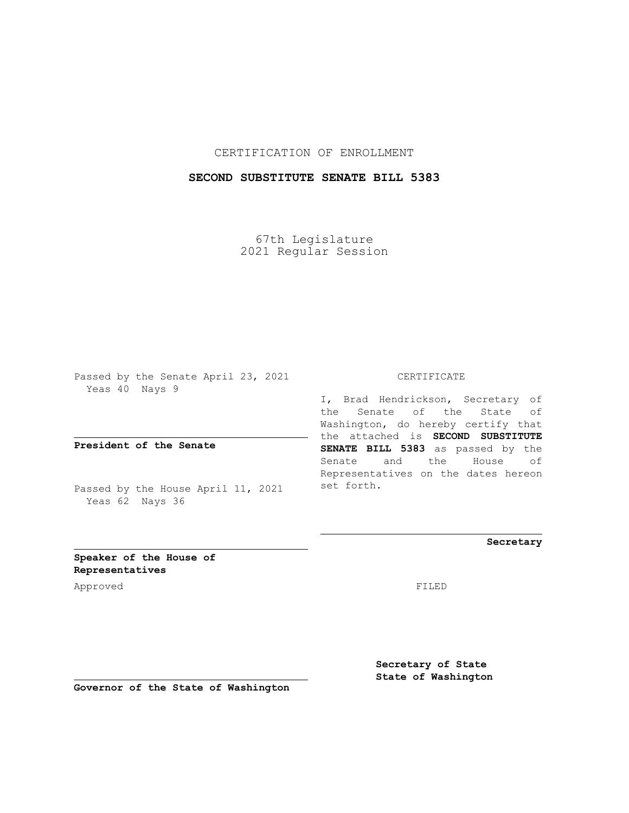## CERTIFICATION OF ENROLLMENT

## **SECOND SUBSTITUTE SENATE BILL 5383**

67th Legislature 2021 Regular Session

Passed by the Senate April 23, 2021 Yeas 40 Nays 9

**President of the Senate**

Passed by the House April 11, 2021 Yeas 62 Nays 36

CERTIFICATE

I, Brad Hendrickson, Secretary of the Senate of the State of Washington, do hereby certify that the attached is **SECOND SUBSTITUTE SENATE BILL 5383** as passed by the Senate and the House of Representatives on the dates hereon set forth.

**Secretary**

**Speaker of the House of Representatives**

Approved FILED

**Secretary of State State of Washington**

**Governor of the State of Washington**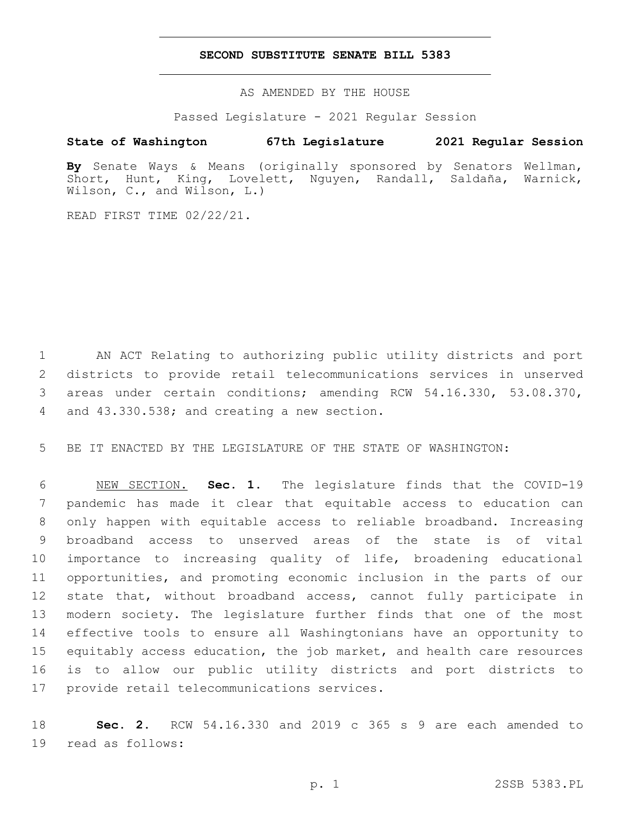## **SECOND SUBSTITUTE SENATE BILL 5383**

AS AMENDED BY THE HOUSE

Passed Legislature - 2021 Regular Session

## **State of Washington 67th Legislature 2021 Regular Session**

**By** Senate Ways & Means (originally sponsored by Senators Wellman, Short, Hunt, King, Lovelett, Nguyen, Randall, Saldaña, Warnick, Wilson, C., and Wilson, L.)

READ FIRST TIME 02/22/21.

 AN ACT Relating to authorizing public utility districts and port districts to provide retail telecommunications services in unserved areas under certain conditions; amending RCW 54.16.330, 53.08.370, 4 and 43.330.538; and creating a new section.

BE IT ENACTED BY THE LEGISLATURE OF THE STATE OF WASHINGTON:

 NEW SECTION. **Sec. 1.** The legislature finds that the COVID-19 pandemic has made it clear that equitable access to education can only happen with equitable access to reliable broadband. Increasing broadband access to unserved areas of the state is of vital importance to increasing quality of life, broadening educational opportunities, and promoting economic inclusion in the parts of our state that, without broadband access, cannot fully participate in modern society. The legislature further finds that one of the most effective tools to ensure all Washingtonians have an opportunity to equitably access education, the job market, and health care resources is to allow our public utility districts and port districts to provide retail telecommunications services.

 **Sec. 2.** RCW 54.16.330 and 2019 c 365 s 9 are each amended to 19 read as follows: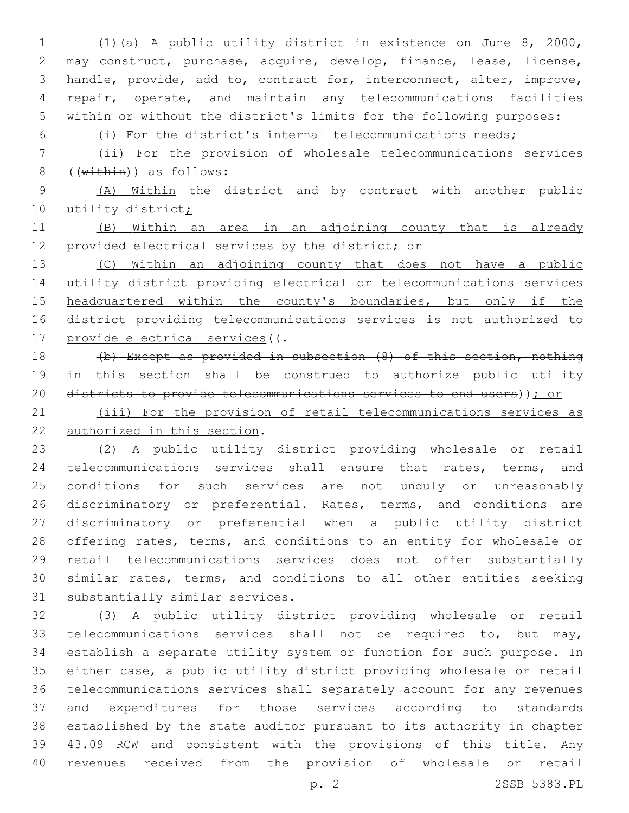(1)(a) A public utility district in existence on June 8, 2000, may construct, purchase, acquire, develop, finance, lease, license, handle, provide, add to, contract for, interconnect, alter, improve, repair, operate, and maintain any telecommunications facilities within or without the district's limits for the following purposes:

(i) For the district's internal telecommunications needs;

 (ii) For the provision of wholesale telecommunications services 8 ((within)) as follows:

 (A) Within the district and by contract with another public 10 utility district;

 (B) Within an area in an adjoining county that is already provided electrical services by the district; or

13 (C) Within an adjoining county that does not have a public utility district providing electrical or telecommunications services 15 headquartered within the county's boundaries, but only if the district providing telecommunications services is not authorized to 17 provide electrical services ((-

 (b) Except as provided in subsection (8) of this section, nothing in this section shall be construed to authorize public utility 20 districts to provide telecommunications services to end users)); or

 (iii) For the provision of retail telecommunications services as 22 authorized in this section.

 (2) A public utility district providing wholesale or retail telecommunications services shall ensure that rates, terms, and conditions for such services are not unduly or unreasonably 26 discriminatory or preferential. Rates, terms, and conditions are discriminatory or preferential when a public utility district offering rates, terms, and conditions to an entity for wholesale or retail telecommunications services does not offer substantially similar rates, terms, and conditions to all other entities seeking 31 substantially similar services.

 (3) A public utility district providing wholesale or retail telecommunications services shall not be required to, but may, establish a separate utility system or function for such purpose. In either case, a public utility district providing wholesale or retail telecommunications services shall separately account for any revenues and expenditures for those services according to standards established by the state auditor pursuant to its authority in chapter 43.09 RCW and consistent with the provisions of this title. Any revenues received from the provision of wholesale or retail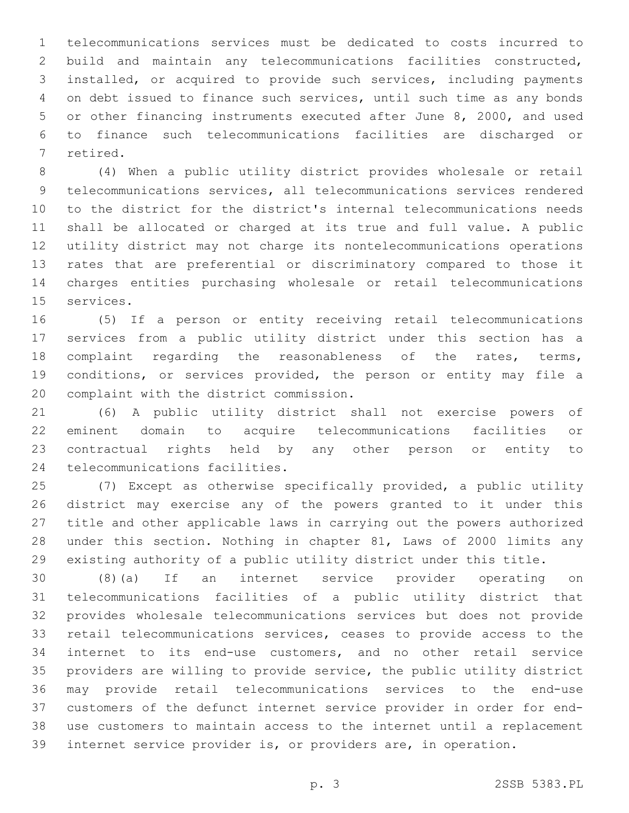telecommunications services must be dedicated to costs incurred to build and maintain any telecommunications facilities constructed, installed, or acquired to provide such services, including payments on debt issued to finance such services, until such time as any bonds or other financing instruments executed after June 8, 2000, and used to finance such telecommunications facilities are discharged or 7 retired.

 (4) When a public utility district provides wholesale or retail telecommunications services, all telecommunications services rendered to the district for the district's internal telecommunications needs shall be allocated or charged at its true and full value. A public utility district may not charge its nontelecommunications operations rates that are preferential or discriminatory compared to those it charges entities purchasing wholesale or retail telecommunications 15 services.

 (5) If a person or entity receiving retail telecommunications services from a public utility district under this section has a complaint regarding the reasonableness of the rates, terms, conditions, or services provided, the person or entity may file a 20 complaint with the district commission.

 (6) A public utility district shall not exercise powers of eminent domain to acquire telecommunications facilities or contractual rights held by any other person or entity to 24 telecommunications facilities.

 (7) Except as otherwise specifically provided, a public utility district may exercise any of the powers granted to it under this title and other applicable laws in carrying out the powers authorized under this section. Nothing in chapter 81, Laws of 2000 limits any existing authority of a public utility district under this title.

 (8)(a) If an internet service provider operating on telecommunications facilities of a public utility district that provides wholesale telecommunications services but does not provide retail telecommunications services, ceases to provide access to the internet to its end-use customers, and no other retail service providers are willing to provide service, the public utility district may provide retail telecommunications services to the end-use customers of the defunct internet service provider in order for end- use customers to maintain access to the internet until a replacement internet service provider is, or providers are, in operation.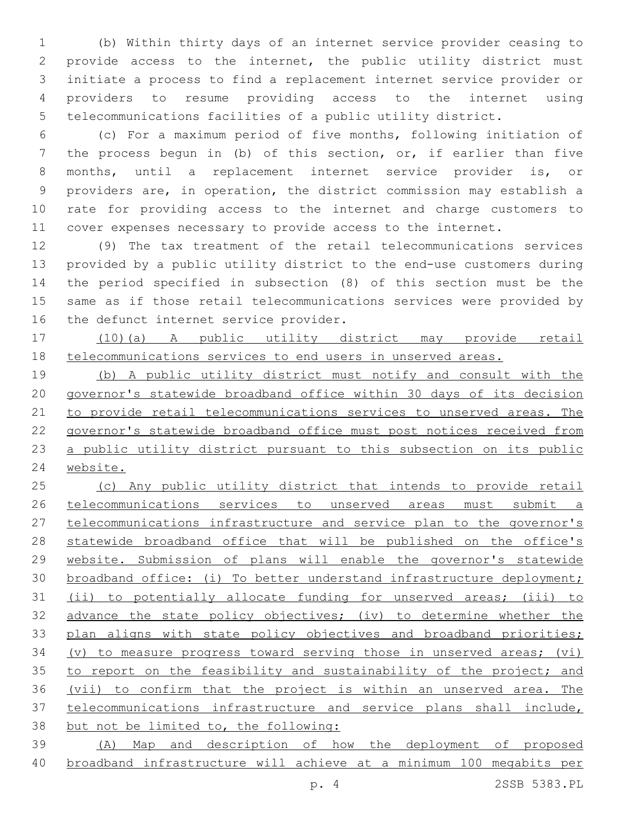(b) Within thirty days of an internet service provider ceasing to provide access to the internet, the public utility district must initiate a process to find a replacement internet service provider or providers to resume providing access to the internet using telecommunications facilities of a public utility district.

 (c) For a maximum period of five months, following initiation of the process begun in (b) of this section, or, if earlier than five months, until a replacement internet service provider is, or providers are, in operation, the district commission may establish a rate for providing access to the internet and charge customers to cover expenses necessary to provide access to the internet.

 (9) The tax treatment of the retail telecommunications services provided by a public utility district to the end-use customers during the period specified in subsection (8) of this section must be the same as if those retail telecommunications services were provided by 16 the defunct internet service provider.

 (10)(a) A public utility district may provide retail telecommunications services to end users in unserved areas.

 (b) A public utility district must notify and consult with the governor's statewide broadband office within 30 days of its decision to provide retail telecommunications services to unserved areas. The governor's statewide broadband office must post notices received from 23 a public utility district pursuant to this subsection on its public website.

 (c) Any public utility district that intends to provide retail telecommunications services to unserved areas must submit a telecommunications infrastructure and service plan to the governor's 28 statewide broadband office that will be published on the office's website. Submission of plans will enable the governor's statewide broadband office: (i) To better understand infrastructure deployment; (ii) to potentially allocate funding for unserved areas; (iii) to 32 advance the state policy objectives; (iv) to determine whether the 33 plan aligns with state policy objectives and broadband priorities; (v) to measure progress toward serving those in unserved areas; (vi) 35 to report on the feasibility and sustainability of the project; and (vii) to confirm that the project is within an unserved area. The telecommunications infrastructure and service plans shall include, but not be limited to, the following: (A) Map and description of how the deployment of proposed

broadband infrastructure will achieve at a minimum 100 megabits per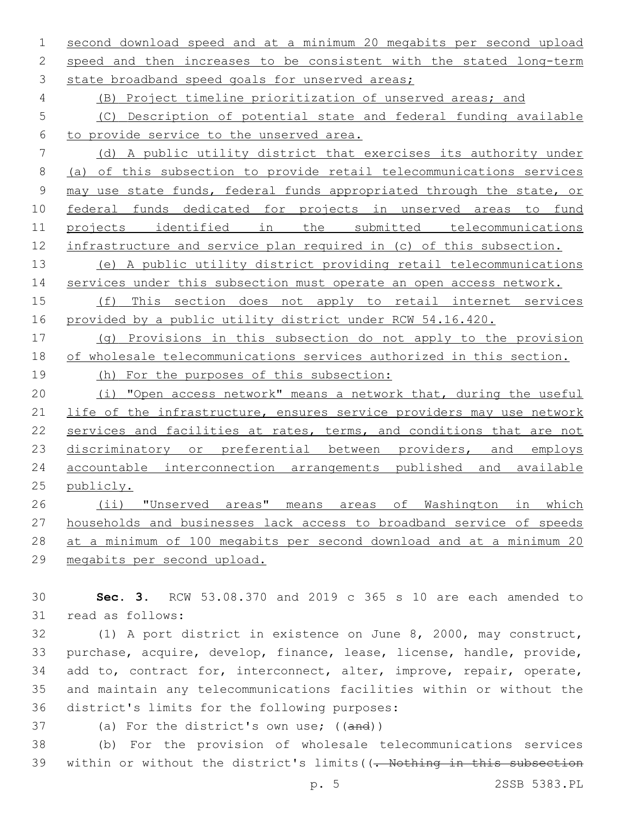second download speed and at a minimum 20 megabits per second upload 2 speed and then increases to be consistent with the stated long-term 3 state broadband speed goals for unserved areas;

(B) Project timeline prioritization of unserved areas; and

 (C) Description of potential state and federal funding available to provide service to the unserved area.

 (d) A public utility district that exercises its authority under (a) of this subsection to provide retail telecommunications services may use state funds, federal funds appropriated through the state, or federal funds dedicated for projects in unserved areas to fund projects identified in the submitted telecommunications infrastructure and service plan required in (c) of this subsection.

 (e) A public utility district providing retail telecommunications 14 services under this subsection must operate an open access network.

 (f) This section does not apply to retail internet services provided by a public utility district under RCW 54.16.420.

 (g) Provisions in this subsection do not apply to the provision of wholesale telecommunications services authorized in this section.

(h) For the purposes of this subsection:

 (i) "Open access network" means a network that, during the useful life of the infrastructure, ensures service providers may use network 22 services and facilities at rates, terms, and conditions that are not 23 discriminatory or preferential between providers, and employs accountable interconnection arrangements published and available publicly.

26 (ii) "Unserved areas" means areas of Washington in which households and businesses lack access to broadband service of speeds at a minimum of 100 megabits per second download and at a minimum 20 megabits per second upload.

 **Sec. 3.** RCW 53.08.370 and 2019 c 365 s 10 are each amended to 31 read as follows:

 (1) A port district in existence on June 8, 2000, may construct, purchase, acquire, develop, finance, lease, license, handle, provide, 34 add to, contract for, interconnect, alter, improve, repair, operate, and maintain any telecommunications facilities within or without the 36 district's limits for the following purposes:

37 (a) For the district's own use; ((and))

 (b) For the provision of wholesale telecommunications services 39 within or without the district's limits ((- Nothing in this subsection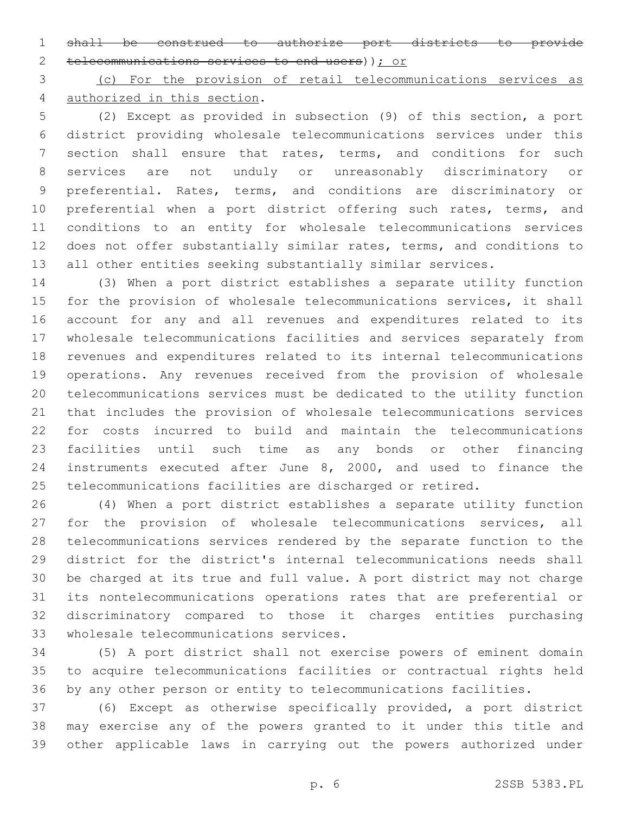shall be construed to authorize port districts to provide telecommunications services to end users)); or

 (c) For the provision of retail telecommunications services as 4 authorized in this section.

 (2) Except as provided in subsection (9) of this section, a port district providing wholesale telecommunications services under this section shall ensure that rates, terms, and conditions for such services are not unduly or unreasonably discriminatory or preferential. Rates, terms, and conditions are discriminatory or 10 preferential when a port district offering such rates, terms, and conditions to an entity for wholesale telecommunications services does not offer substantially similar rates, terms, and conditions to all other entities seeking substantially similar services.

 (3) When a port district establishes a separate utility function for the provision of wholesale telecommunications services, it shall account for any and all revenues and expenditures related to its wholesale telecommunications facilities and services separately from revenues and expenditures related to its internal telecommunications operations. Any revenues received from the provision of wholesale telecommunications services must be dedicated to the utility function that includes the provision of wholesale telecommunications services for costs incurred to build and maintain the telecommunications facilities until such time as any bonds or other financing instruments executed after June 8, 2000, and used to finance the telecommunications facilities are discharged or retired.

 (4) When a port district establishes a separate utility function 27 for the provision of wholesale telecommunications services, all telecommunications services rendered by the separate function to the district for the district's internal telecommunications needs shall be charged at its true and full value. A port district may not charge its nontelecommunications operations rates that are preferential or discriminatory compared to those it charges entities purchasing 33 wholesale telecommunications services.

 (5) A port district shall not exercise powers of eminent domain to acquire telecommunications facilities or contractual rights held by any other person or entity to telecommunications facilities.

 (6) Except as otherwise specifically provided, a port district may exercise any of the powers granted to it under this title and other applicable laws in carrying out the powers authorized under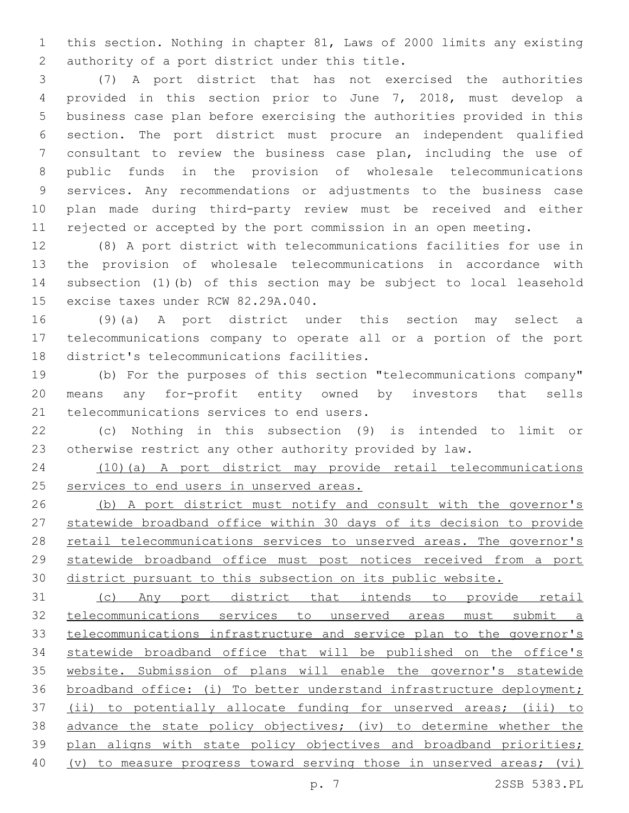this section. Nothing in chapter 81, Laws of 2000 limits any existing 2 authority of a port district under this title.

 (7) A port district that has not exercised the authorities provided in this section prior to June 7, 2018, must develop a business case plan before exercising the authorities provided in this section. The port district must procure an independent qualified consultant to review the business case plan, including the use of public funds in the provision of wholesale telecommunications services. Any recommendations or adjustments to the business case plan made during third-party review must be received and either rejected or accepted by the port commission in an open meeting.

 (8) A port district with telecommunications facilities for use in the provision of wholesale telecommunications in accordance with subsection (1)(b) of this section may be subject to local leasehold 15 excise taxes under RCW 82.29A.040.

 (9)(a) A port district under this section may select a telecommunications company to operate all or a portion of the port 18 district's telecommunications facilities.

 (b) For the purposes of this section "telecommunications company" means any for-profit entity owned by investors that sells 21 telecommunications services to end users.

 (c) Nothing in this subsection (9) is intended to limit or otherwise restrict any other authority provided by law.

 (10)(a) A port district may provide retail telecommunications services to end users in unserved areas.

 (b) A port district must notify and consult with the governor's statewide broadband office within 30 days of its decision to provide 28 retail telecommunications services to unserved areas. The governor's statewide broadband office must post notices received from a port district pursuant to this subsection on its public website.

 (c) Any port district that intends to provide retail telecommunications services to unserved areas must submit a telecommunications infrastructure and service plan to the governor's statewide broadband office that will be published on the office's website. Submission of plans will enable the governor's statewide broadband office: (i) To better understand infrastructure deployment; (ii) to potentially allocate funding for unserved areas; (iii) to advance the state policy objectives; (iv) to determine whether the 39 plan aligns with state policy objectives and broadband priorities; (v) to measure progress toward serving those in unserved areas; (vi)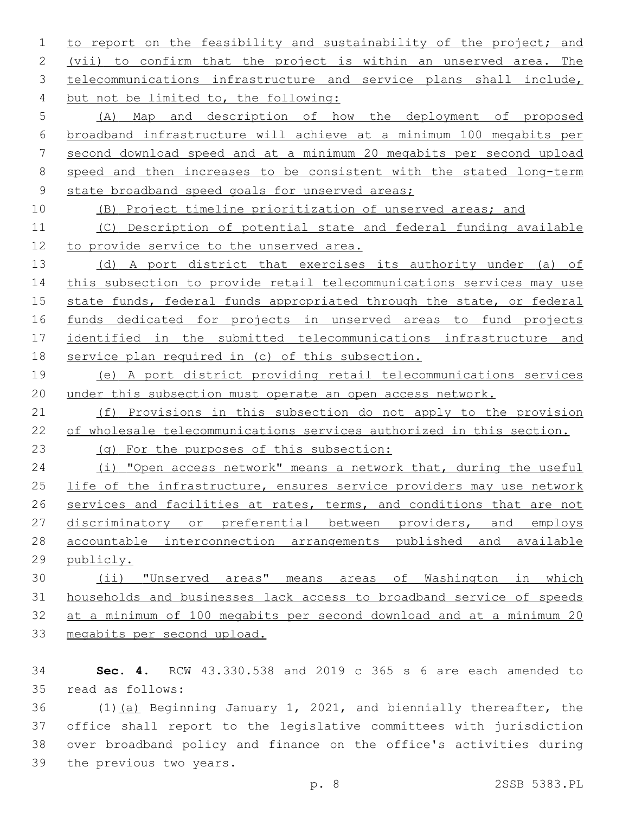to report on the feasibility and sustainability of the project; and 2 (vii) to confirm that the project is within an unserved area. The 3 telecommunications infrastructure and service plans shall include, 4 but not be limited to, the following:

 (A) Map and description of how the deployment of proposed broadband infrastructure will achieve at a minimum 100 megabits per second download speed and at a minimum 20 megabits per second upload speed and then increases to be consistent with the stated long-term 9 state broadband speed goals for unserved areas;

(B) Project timeline prioritization of unserved areas; and

 (C) Description of potential state and federal funding available 12 to provide service to the unserved area.

 (d) A port district that exercises its authority under (a) of this subsection to provide retail telecommunications services may use state funds, federal funds appropriated through the state, or federal funds dedicated for projects in unserved areas to fund projects identified in the submitted telecommunications infrastructure and service plan required in (c) of this subsection.

 (e) A port district providing retail telecommunications services under this subsection must operate an open access network.

 (f) Provisions in this subsection do not apply to the provision of wholesale telecommunications services authorized in this section.

(g) For the purposes of this subsection:

 (i) "Open access network" means a network that, during the useful 25 life of the infrastructure, ensures service providers may use network 26 services and facilities at rates, terms, and conditions that are not 27 discriminatory or preferential between providers, and employs accountable interconnection arrangements published and available publicly.

 (ii) "Unserved areas" means areas of Washington in which households and businesses lack access to broadband service of speeds at a minimum of 100 megabits per second download and at a minimum 20 megabits per second upload.

 **Sec. 4.** RCW 43.330.538 and 2019 c 365 s 6 are each amended to read as follows:35

 (1)(a) Beginning January 1, 2021, and biennially thereafter, the office shall report to the legislative committees with jurisdiction over broadband policy and finance on the office's activities during 39 the previous two years.